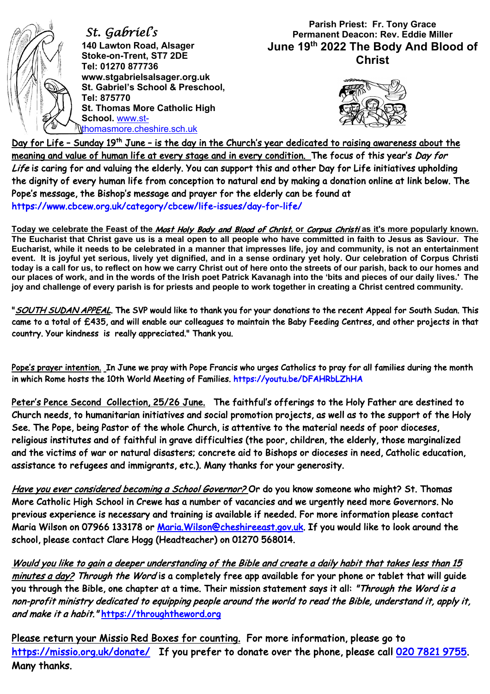

 *St. Gabriel's*  **140 Lawton Road, Alsager Stoke-on-Trent, ST7 2DE Tel: 01270 877736 www.stgabrielsalsager.org.uk St. Gabriel's School & Preschool, Tel: 875770 St. Thomas More Catholic High School.** www.stthomasmore.cheshire.sch.uk

## **Parish Priest: Fr. Tony Grace Permanent Deacon: Rev. Eddie Miller June 19th 2022 The Body And Blood of Christ**



Day for Life - Sunday 19<sup>th</sup> June - is the day in the Church's year dedicated to raising awareness about the meaning and value of human life at every stage and in every condition. The focus of this year's Day for Life is caring for and valuing the elderly. You can support this and other Day for Life initiatives upholding the dignity of every human life from conception to natural end by making a donation online at link below. The Pope's message, the Bishop's message and prayer for the elderly can be found at https://www.cbcew.org.uk/category/cbcew/life-issues/day-for-life/

**Today we celebrate the Feast of the** Most Holy Body and Blood of Christ**, or** Corpus Christi **as it's more popularly known. The Eucharist that Christ gave us is a meal open to all people who have committed in faith to Jesus as Saviour. The Eucharist, while it needs to be celebrated in a manner that impresses life, joy and community, is not an entertainment event. It is joyful yet serious, lively yet dignified, and in a sense ordinary yet holy. Our celebration of Corpus Christi today is a call for us, to reflect on how we carry Christ out of here onto the streets of our parish, back to our homes and our places of work, and in the words of the Irish poet Patrick Kavanagh into the 'bits and pieces of our daily lives.' The joy and challenge of every parish is for priests and people to work together in creating a Christ centred community.**

"SOUTH SUDAN APPEAL. The SVP would like to thank you for your donations to the recent Appeal for South Sudan. This came to a total of £435, and will enable our colleagues to maintain the Baby Feeding Centres, and other projects in that country. Your kindness is really appreciated." Thank you.

Pope's prayer intention. In June we pray with Pope Francis who urges Catholics to pray for all families during the month in which Rome hosts the 10th World Meeting of Families. https://youtu.be/DFAHRbLZhHA

Peter's Pence Second Collection, 25/26 June. The faithful's offerings to the Holy Father are destined to Church needs, to humanitarian initiatives and social promotion projects, as well as to the support of the Holy See. The Pope, being Pastor of the whole Church, is attentive to the material needs of poor dioceses, religious institutes and of faithful in grave difficulties (the poor, children, the elderly, those marginalized and the victims of war or natural disasters; concrete aid to Bishops or dioceses in need, Catholic education, assistance to refugees and immigrants, etc.). Many thanks for your generosity.

Have you ever considered becoming a School Governor? Or do you know someone who might? St. Thomas More Catholic High School in Crewe has a number of vacancies and we urgently need more Governors. No previous experience is necessary and training is available if needed. For more information please contact Maria Wilson on 07966 133178 or Maria.Wilson@cheshireeast.gov.uk. If you would like to look around the school, please contact Clare Hogg (Headteacher) on 01270 568014.

Would you like to gain a deeper understanding of the Bible and create a daily habit that takes less than 15 minutes a day? Through the Word is a completely free app available for your phone or tablet that will quide you through the Bible, one chapter at a time. Their mission statement says it all: "Through the Word is a non-profit ministry dedicated to equipping people around the world to read the Bible, understand it, apply it, and make it a habit." https://throughtheword.org

Please return your Missio Red Boxes for counting. For more information, please go to https://missio.org.uk/donate/ If you prefer to donate over the phone, please call 020 7821 9755. Many thanks.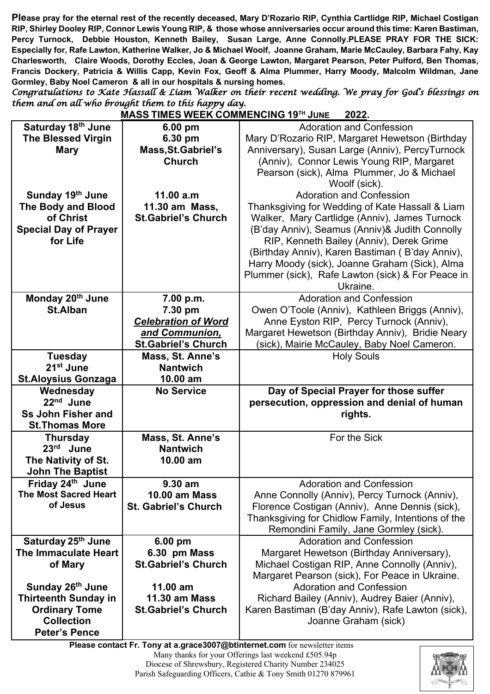**Please pray for the eternal rest of the recently deceased, Mary D'Rozario RIP, Cynthia Cartlidge RIP, Michael Costigan RIP, Shirley Dooley RIP, Connor Lewis Young RIP, & those whose anniversaries occur around this time: Karen Bastiman, Percy Turnock, Debbie Houston, Kenneth Bailey, Susan Large, Anne Connolly.PLEASE PRAY FOR THE SICK: Especially for, Rafe Lawton, Katherine Walker, Jo & Michael Woolf, Joanne Graham, Marie McCauley, Barbara Fahy, Kay Charlesworth, Claire Woods, Dorothy Eccles, Joan & George Lawton, Margaret Pearson, Peter Pulford, Ben Thomas, Francis Dockery, Patricia & Willis Capp, Kevin Fox, Geoff & Alma Plummer, Harry Moody, Malcolm Wildman, Jane Gormley, Baby Noel Cameron & all in our hospitals & nursing homes.**

*Congratulations to Kate Hassall & Liam Walker on their recent wedding. We pray for God's blessings on them and on all who brought them to this happy day.* **MASS TIMES WEEK COMMENCING 19TH JUNE 2022.**

|                                | <u>MASS TIMES WEEN COMMENCING 19 JUNE</u> | <u>ZUZZ.</u>                                       |
|--------------------------------|-------------------------------------------|----------------------------------------------------|
| Saturday 18th June             | $6.00$ pm                                 | <b>Adoration and Confession</b>                    |
| <b>The Blessed Virgin</b>      | 6.30 pm                                   | Mary D'Rozario RIP, Margaret Hewetson (Birthday    |
| <b>Mary</b>                    | Mass, St. Gabriel's                       | Anniversary), Susan Large (Anniv), PercyTurnock    |
|                                | <b>Church</b>                             | (Anniv), Connor Lewis Young RIP, Margaret          |
|                                |                                           | Pearson (sick), Alma Plummer, Jo & Michael         |
|                                |                                           | Woolf (sick).                                      |
| Sunday 19th June               | 11.00 a.m                                 | <b>Adoration and Confession</b>                    |
|                                |                                           |                                                    |
| <b>The Body and Blood</b>      | 11.30 am Mass,                            | Thanksgiving for Wedding of Kate Hassall & Liam    |
| of Christ                      | <b>St.Gabriel's Church</b>                | Walker, Mary Cartlidge (Anniv), James Turnock      |
| <b>Special Day of Prayer</b>   |                                           | (B'day Anniv), Seamus (Anniv)& Judith Connolly     |
| for Life                       |                                           | RIP, Kenneth Bailey (Anniv), Derek Grime           |
|                                |                                           | (Birthday Anniv), Karen Bastiman (B'day Anniv),    |
|                                |                                           | Harry Moody (sick), Joanne Graham (Sick), Alma     |
|                                |                                           | Plummer (sick), Rafe Lawton (sick) & For Peace in  |
|                                |                                           | Ukraine.                                           |
| Monday 20 <sup>th</sup> June   | 7.00 p.m.                                 | <b>Adoration and Confession</b>                    |
| <b>St.Alban</b>                | 7.30 pm                                   | Owen O'Toole (Anniv), Kathleen Briggs (Anniv),     |
|                                | <b>Celebration of Word</b>                | Anne Eyston RIP, Percy Turnock (Anniv),            |
|                                | and Communion,                            | Margaret Hewetson (Birthday Anniv), Bridie Neary   |
|                                | <b>St.Gabriel's Church</b>                | (sick), Mairie McCauley, Baby Noel Cameron.        |
| <b>Tuesday</b>                 | Mass, St. Anne's                          | <b>Holy Souls</b>                                  |
| 21 <sup>st</sup> June          | <b>Nantwich</b>                           |                                                    |
|                                |                                           |                                                    |
|                                |                                           |                                                    |
| <b>St.Aloysius Gonzaga</b>     | 10.00 am                                  |                                                    |
| Wednesday                      | <b>No Service</b>                         | Day of Special Prayer for those suffer             |
| 22 <sup>nd</sup> June          |                                           | persecution, oppression and denial of human        |
| <b>Ss John Fisher and</b>      |                                           | rights.                                            |
| <b>St.Thomas More</b>          |                                           |                                                    |
| <b>Thursday</b>                | Mass, St. Anne's                          | For the Sick                                       |
| $23rd$ June                    | <b>Nantwich</b>                           |                                                    |
| The Nativity of St.            | 10.00 am                                  |                                                    |
| <b>John The Baptist</b>        |                                           |                                                    |
| Friday 24th June               | 9.30 am                                   | <b>Adoration and Confession</b>                    |
| <b>The Most Sacred Heart</b>   | <b>10.00 am Mass</b>                      | Anne Connolly (Anniv), Percy Turnock (Anniv),      |
| of Jesus                       | <b>St. Gabriel's Church</b>               | Florence Costigan (Anniv), Anne Dennis (sick),     |
|                                |                                           | Thanksgiving for Chidlow Family, Intentions of the |
|                                |                                           | Remondini Family, Jane Gormley (sick).             |
| Saturday 25 <sup>th</sup> June | 6.00 pm                                   | <b>Adoration and Confession</b>                    |
| The Immaculate Heart           | 6.30 pm Mass                              | Margaret Hewetson (Birthday Anniversary),          |
| of Mary                        | <b>St.Gabriel's Church</b>                | Michael Costigan RIP, Anne Connolly (Anniv),       |
|                                |                                           | Margaret Pearson (sick), For Peace in Ukraine.     |
| Sunday 26 <sup>th</sup> June   | 11.00 am                                  | <b>Adoration and Confession</b>                    |
| <b>Thirteenth Sunday in</b>    | <b>11.30 am Mass</b>                      | Richard Bailey (Anniv), Audrey Baier (Anniv),      |
| <b>Ordinary Tome</b>           | <b>St.Gabriel's Church</b>                | Karen Bastiman (B'day Anniv), Rafe Lawton (sick),  |
| <b>Collection</b>              |                                           | Joanne Graham (sick)                               |

 **Please contact Fr. Tony at a.grace3007@btinternet.com** for newsletter items Many thanks for your Offerings last weekend £505.94p Diocese of Shrewsbury, Registered Charity Number 234025 Parish Safeguarding Officers, Cathie & Tony Smith 01270 879961